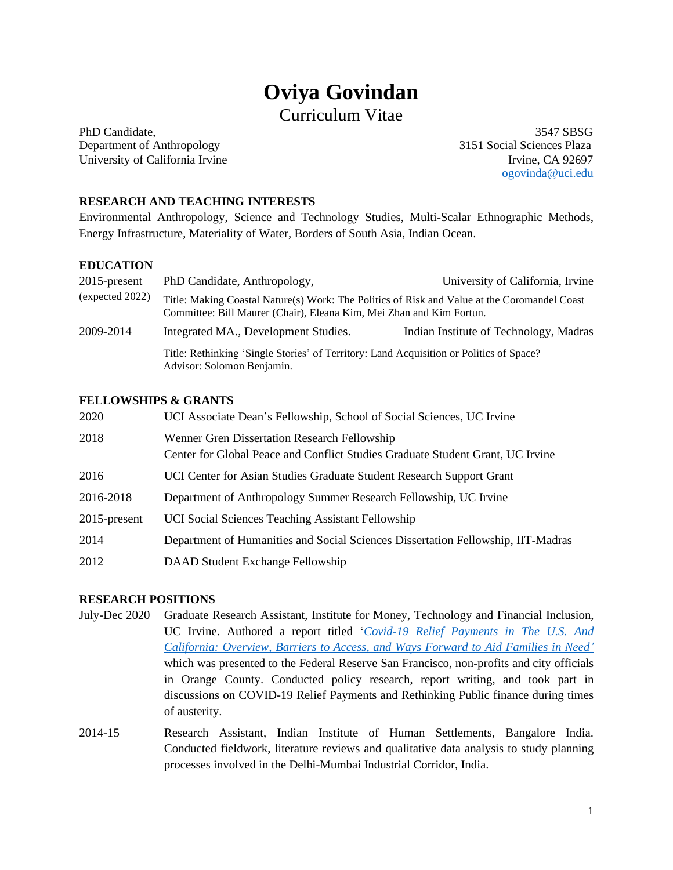# **Oviya Govindan**

# Curriculum Vitae

PhD Candidate, 3547 SBSG Department of Anthropology 3151 Social Sciences Plaza University of California Irvine<br>
Irvine, CA 92697

[ogovinda@uci.edu](mailto:ogovinda@uci.edu)

#### **RESEARCH AND TEACHING INTERESTS**

Environmental Anthropology, Science and Technology Studies, Multi-Scalar Ethnographic Methods, Energy Infrastructure, Materiality of Water, Borders of South Asia, Indian Ocean.

# **EDUCATION**

| $2015$ -present | PhD Candidate, Anthropology,                                                                                                                                         | University of California, Irvine       |  |
|-----------------|----------------------------------------------------------------------------------------------------------------------------------------------------------------------|----------------------------------------|--|
| (expected 2022) | Title: Making Coastal Nature(s) Work: The Politics of Risk and Value at the Coromandel Coast<br>Committee: Bill Maurer (Chair), Eleana Kim, Mei Zhan and Kim Fortun. |                                        |  |
| 2009-2014       | Integrated MA., Development Studies.                                                                                                                                 | Indian Institute of Technology, Madras |  |
|                 | Title: Rethinking 'Single Stories' of Territory: Land Acquisition or Politics of Space?<br>Advisor: Solomon Benjamin.                                                |                                        |  |

#### **FELLOWSHIPS & GRANTS**

| 2020            | UCI Associate Dean's Fellowship, School of Social Sciences, UC Irvine                                                          |
|-----------------|--------------------------------------------------------------------------------------------------------------------------------|
| 2018            | Wenner Gren Dissertation Research Fellowship<br>Center for Global Peace and Conflict Studies Graduate Student Grant, UC Irvine |
| 2016            | UCI Center for Asian Studies Graduate Student Research Support Grant                                                           |
| 2016-2018       | Department of Anthropology Summer Research Fellowship, UC Irvine                                                               |
| $2015$ -present | UCI Social Sciences Teaching Assistant Fellowship                                                                              |
| 2014            | Department of Humanities and Social Sciences Dissertation Fellowship, IIT-Madras                                               |
| 2012            | DAAD Student Exchange Fellowship                                                                                               |

#### **RESEARCH POSITIONS**

- July-Dec 2020 Graduate Research Assistant, Institute for Money, Technology and Financial Inclusion, UC Irvine. Authored a report titled '*[Covid-19 Relief Payments in The U.S. And](https://www.imtfi.uci.edu/files/docs/2021/WellsReportCOVIDRelief-12-5-2020-C2.pdf)  California: [Overview, Barriers to Access, and Ways Forward to Aid Families in](https://www.imtfi.uci.edu/files/docs/2021/WellsReportCOVIDRelief-12-5-2020-C2.pdf) Need'* which was presented to the Federal Reserve San Francisco, non-profits and city officials in Orange County. Conducted policy research, report writing, and took part in discussions on COVID-19 Relief Payments and Rethinking Public finance during times of austerity.
- 2014-15 Research Assistant, Indian Institute of Human Settlements, Bangalore India. Conducted fieldwork, literature reviews and qualitative data analysis to study planning processes involved in the Delhi-Mumbai Industrial Corridor, India.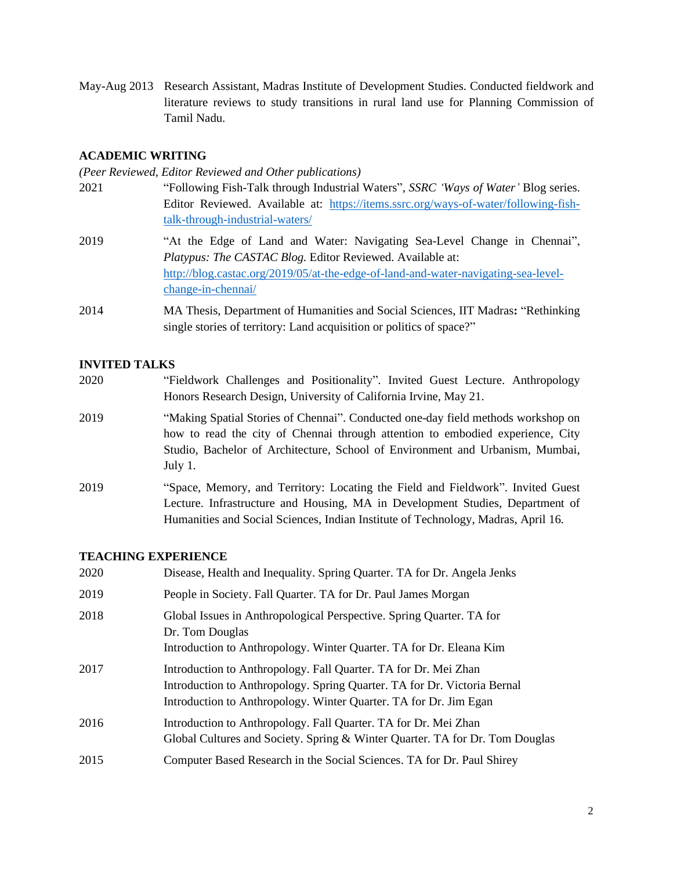May-Aug 2013 Research Assistant, Madras Institute of Development Studies. Conducted fieldwork and literature reviews to study transitions in rural land use for Planning Commission of Tamil Nadu.

#### **ACADEMIC WRITING**

*(Peer Reviewed, Editor Reviewed and Other publications)* 

- 2021 "Following Fish-Talk through Industrial Waters", *SSRC 'Ways of Water'* Blog series. Editor Reviewed. Available at: [https://items.ssrc.org/ways-of-water/following-fish](https://items.ssrc.org/ways-of-water/following-fish-talk-through-industrial-waters/)[talk-through-industrial-waters/](https://items.ssrc.org/ways-of-water/following-fish-talk-through-industrial-waters/)
- 2019 "At the Edge of Land and Water: Navigating Sea-Level Change in Chennai", *Platypus: The CASTAC Blog.* Editor Reviewed. Available at: [http://blog.castac.org/2019/05/at-the-edge-of-land-and-water-navigating-sea-level](http://blog.castac.org/2019/05/at-the-edge-of-land-and-water-navigating-sea-level-change-in-chennai/)[change-in-chennai/](http://blog.castac.org/2019/05/at-the-edge-of-land-and-water-navigating-sea-level-change-in-chennai/)
- 2014 MA Thesis, Department of Humanities and Social Sciences, IIT Madras**:** "Rethinking single stories of territory: Land acquisition or politics of space?"

#### **INVITED TALKS**

- 2020 "Fieldwork Challenges and Positionality". Invited Guest Lecture. Anthropology Honors Research Design, University of California Irvine, May 21.
- 2019 "Making Spatial Stories of Chennai". Conducted one-day field methods workshop on how to read the city of Chennai through attention to embodied experience, City Studio, Bachelor of Architecture, School of Environment and Urbanism, Mumbai, July 1.
- 2019 "Space, Memory, and Territory: Locating the Field and Fieldwork". Invited Guest Lecture. Infrastructure and Housing, MA in Development Studies, Department of Humanities and Social Sciences, Indian Institute of Technology, Madras, April 16.

# **TEACHING EXPERIENCE**

| 2020 | Disease, Health and Inequality. Spring Quarter. TA for Dr. Angela Jenks                                                                                                                                          |
|------|------------------------------------------------------------------------------------------------------------------------------------------------------------------------------------------------------------------|
| 2019 | People in Society. Fall Quarter. TA for Dr. Paul James Morgan                                                                                                                                                    |
| 2018 | Global Issues in Anthropological Perspective. Spring Quarter. TA for<br>Dr. Tom Douglas<br>Introduction to Anthropology. Winter Quarter. TA for Dr. Eleana Kim                                                   |
| 2017 | Introduction to Anthropology. Fall Quarter. TA for Dr. Mei Zhan<br>Introduction to Anthropology. Spring Quarter. TA for Dr. Victoria Bernal<br>Introduction to Anthropology. Winter Quarter. TA for Dr. Jim Egan |
| 2016 | Introduction to Anthropology. Fall Quarter. TA for Dr. Mei Zhan<br>Global Cultures and Society. Spring & Winter Quarter. TA for Dr. Tom Douglas                                                                  |
| 2015 | Computer Based Research in the Social Sciences. TA for Dr. Paul Shirey                                                                                                                                           |
|      |                                                                                                                                                                                                                  |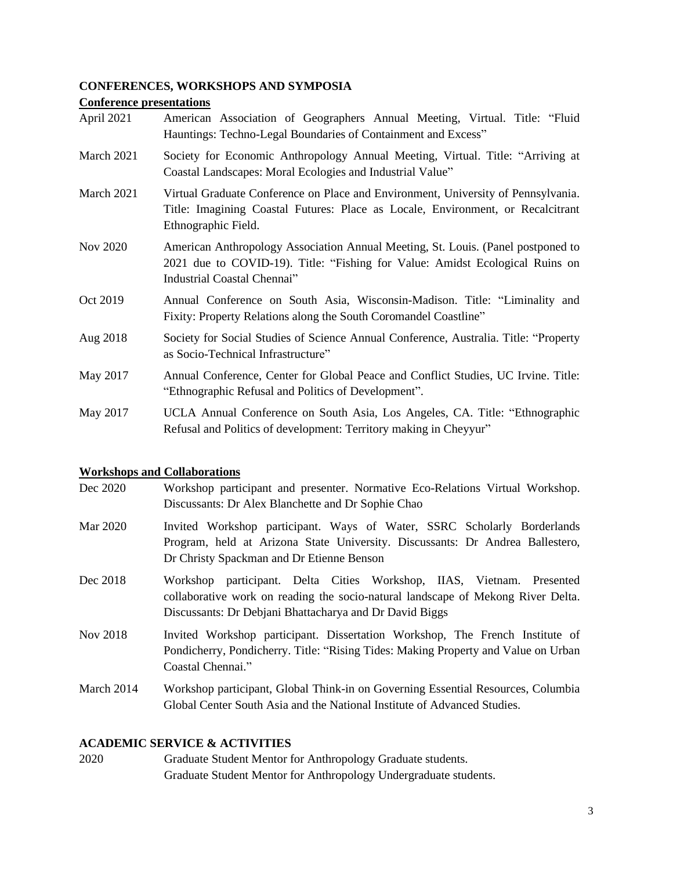#### **CONFERENCES, WORKSHOPS AND SYMPOSIA**

#### **Conference presentations**

| April 2021 |  | American Association of Geographers Annual Meeting, Virtual. Title: "Fluid |  |  |  |
|------------|--|----------------------------------------------------------------------------|--|--|--|
|            |  | Hauntings: Techno-Legal Boundaries of Containment and Excess"              |  |  |  |

- March 2021 Society for Economic Anthropology Annual Meeting, Virtual. Title: "Arriving at Coastal Landscapes: Moral Ecologies and Industrial Value"
- March 2021 Virtual Graduate Conference on Place and Environment, University of Pennsylvania. Title: Imagining Coastal Futures: Place as Locale, Environment, or Recalcitrant Ethnographic Field.
- Nov 2020 American Anthropology Association Annual Meeting, St. Louis. (Panel postponed to 2021 due to COVID-19). Title: "Fishing for Value: Amidst Ecological Ruins on Industrial Coastal Chennai"
- Oct 2019 Annual Conference on South Asia, Wisconsin-Madison. Title: "Liminality and Fixity: Property Relations along the South Coromandel Coastline"
- Aug 2018 Society for Social Studies of Science Annual Conference, Australia. Title: "Property as Socio-Technical Infrastructure"
- May 2017 Annual Conference, Center for Global Peace and Conflict Studies, UC Irvine. Title: "Ethnographic Refusal and Politics of Development".
- May 2017 UCLA Annual Conference on South Asia, Los Angeles, CA. Title: "Ethnographic Refusal and Politics of development: Territory making in Cheyyur"

#### **Workshops and Collaborations**

- Dec 2020 Workshop participant and presenter. Normative Eco-Relations Virtual Workshop. Discussants: Dr Alex Blanchette and Dr Sophie Chao
- Mar 2020 Invited Workshop participant. Ways of Water, SSRC Scholarly Borderlands Program, held at Arizona State University. Discussants: Dr Andrea Ballestero, Dr Christy Spackman and Dr Etienne Benson
- Dec 2018 Workshop participant. Delta Cities Workshop, IIAS, Vietnam. Presented collaborative work on reading the socio-natural landscape of Mekong River Delta. Discussants: Dr Debjani Bhattacharya and Dr David Biggs
- Nov 2018 Invited Workshop participant. Dissertation Workshop, The French Institute of Pondicherry, Pondicherry. Title: "Rising Tides: Making Property and Value on Urban Coastal Chennai."
- March 2014 Workshop participant, Global Think-in on Governing Essential Resources, Columbia Global Center South Asia and the National Institute of Advanced Studies.

#### **ACADEMIC SERVICE & ACTIVITIES**

2020 Graduate Student Mentor for Anthropology Graduate students. Graduate Student Mentor for Anthropology Undergraduate students.